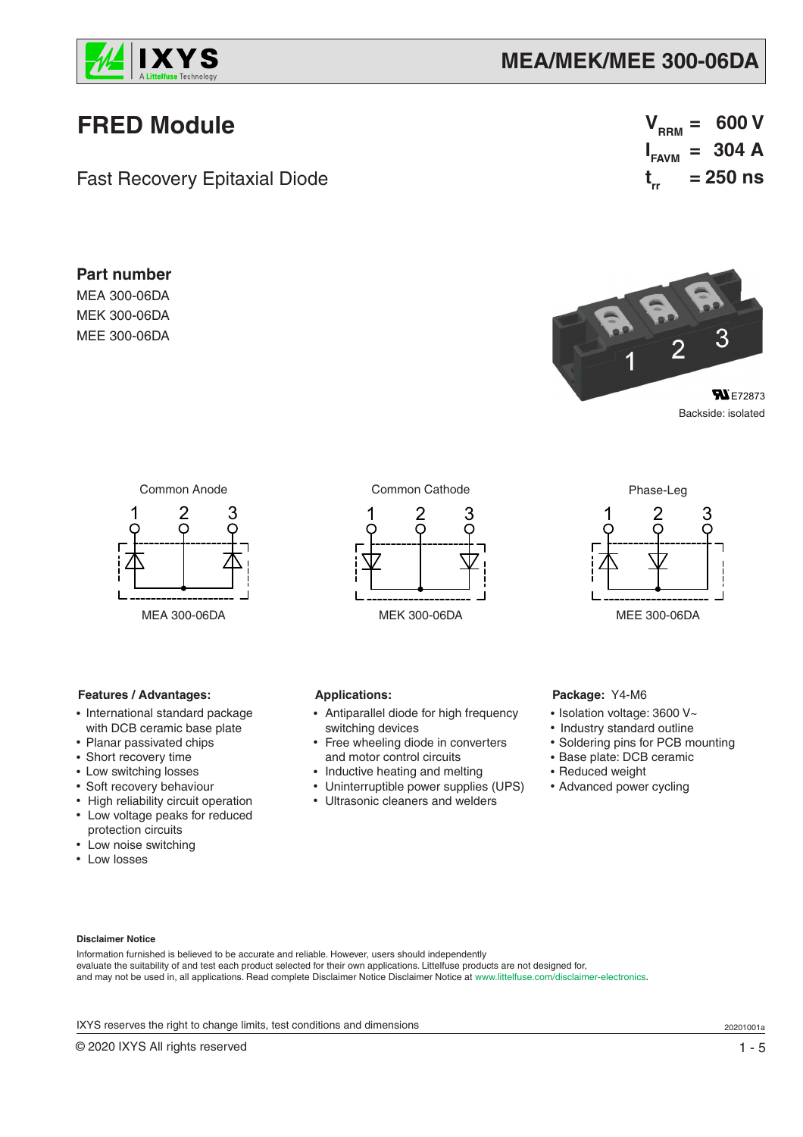

# **MEA/MEK/MEE 300-06DA**

# **FRED Module**

**Part number** MEA 300-06DA MEK 300-06DA MEE 300-06DA

Fast Recovery Epitaxial Diode

 $V_{RRM} = 600 V$  $I_{FAVM}$  = 304 A **t rr = 250 ns**



Backside: isolated



## **Features / Advantages:**

- International standard package with DCB ceramic base plate
- Planar passivated chips
- Short recovery time
- Low switching losses
- Soft recovery behaviour
- High reliability circuit operation • Low voltage peaks for reduced protection circuits
- Low noise switching
- Low losses



• Antiparallel diode for high frequency

Free wheeling diode in converters

 and motor control circuits • Inductive heating and melting • Uninterruptible power supplies (UPS) • Ultrasonic cleaners and welders



## **Package:** Y4-M6

- Isolation voltage: 3600 V~
- Industry standard outline
- Soldering pins for PCB mounting
- Base plate: DCB ceramic
- Reduced weight
- Advanced power cycling

### **Disclaimer Notice**

Information furnished is believed to be accurate and reliable. However, users should independently evaluate the suitability of and test each product selected for their own applications. Littelfuse products are not designed for, and may not be used in, all applications. Read complete Disclaimer Notice Disclaimer Notice at www.littelfuse.com/disclaimer-electronics.

**Applications:**

switching devices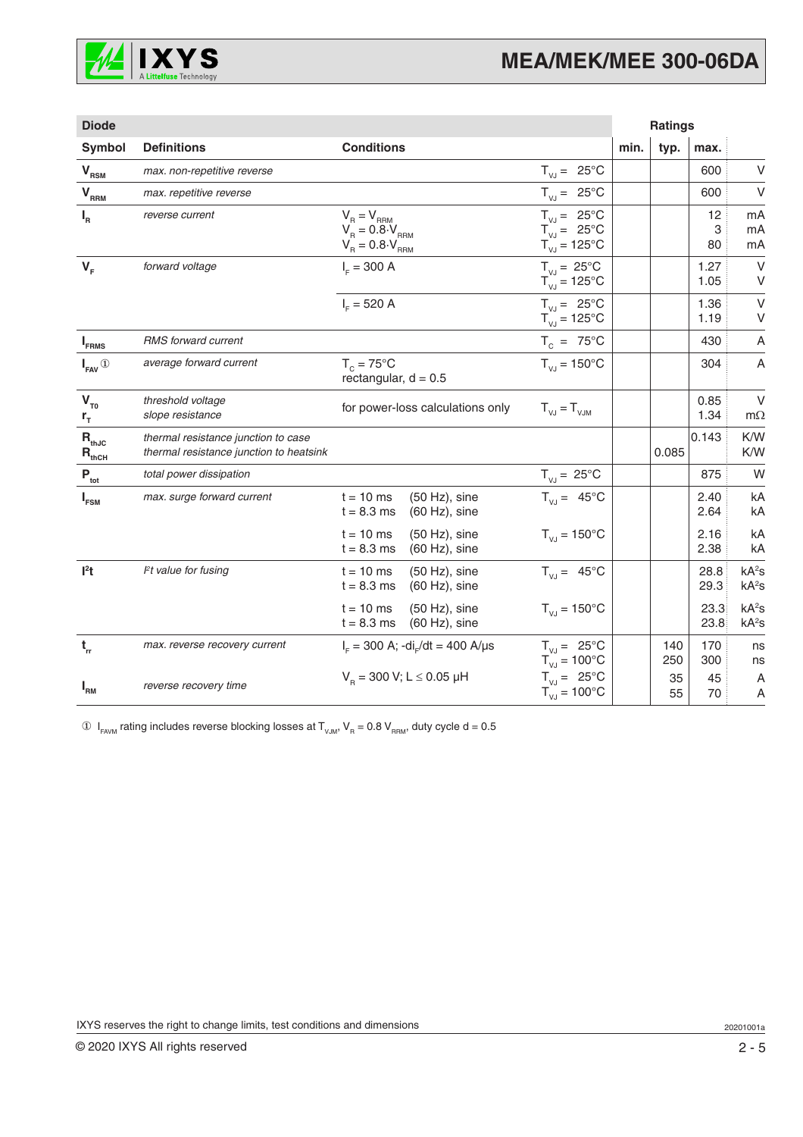

| <b>Diode</b>                                                                                                                                                                                                                                 |                                                                                |                                                                                                                                                                                                                              |                                                                                             |      | <b>Ratings</b> |               |                                        |
|----------------------------------------------------------------------------------------------------------------------------------------------------------------------------------------------------------------------------------------------|--------------------------------------------------------------------------------|------------------------------------------------------------------------------------------------------------------------------------------------------------------------------------------------------------------------------|---------------------------------------------------------------------------------------------|------|----------------|---------------|----------------------------------------|
| Symbol                                                                                                                                                                                                                                       | <b>Definitions</b>                                                             | <b>Conditions</b>                                                                                                                                                                                                            |                                                                                             | min. | typ.           | max.          |                                        |
| $V_{RSM}$                                                                                                                                                                                                                                    | max. non-repetitive reverse                                                    |                                                                                                                                                                                                                              | $T_{V,J} = 25^{\circ}C$                                                                     |      |                | 600           | V                                      |
| $\mathbf{V}_{\underbrace{\mathbf{R}\mathbf{R}\mathbf{M}}}% \mathbf{A}^{(\textrm{on})}}\mathbf{A}^{(\textrm{on})}_{\textrm{R}\mathbf{M}}= \mathbf{V}_{\underbrace{\mathbf{R}\mathbf{M}}_{\mathbf{M}}}\mathbf{A}^{(\textrm{on})}_{\mathbf{M}}$ | max. repetitive reverse                                                        |                                                                                                                                                                                                                              | $T_{V,I} = 25^{\circ}C$                                                                     |      |                | 600           | $\vee$                                 |
| $I_R$                                                                                                                                                                                                                                        | reverse current                                                                | $\begin{array}{l} \mathsf{V}_{_{\mathrm{R}}}=\mathsf{V}_{_{\mathrm{RRM}}} \\ \mathsf{V}_{_{\mathrm{R}}}=0.8\cdot\mathsf{V}_{_{\mathrm{RRM}}} \\ \mathsf{V}_{_{\mathrm{R}}}=0.8\cdot\mathsf{V}_{_{\mathrm{RRM}}} \end{array}$ | $T_{V,J} = 25^{\circ}C$<br>$T_{\text{VJ}} = 25^{\circ} \text{C}$<br>$T_{VJ} = 125^{\circ}C$ |      |                | 12<br>3<br>80 | mA<br>mA<br>mA                         |
| $V_F$                                                                                                                                                                                                                                        | forward voltage                                                                | $I_{E} = 300 A$                                                                                                                                                                                                              | $T_{VJ} = 25^{\circ}C$<br>$T_{VJ} = 125^{\circ}C$                                           |      |                | 1.27<br>1.05  | $\vee$<br>V                            |
|                                                                                                                                                                                                                                              |                                                                                | $I_c = 520 A$                                                                                                                                                                                                                | $T_{V1} = 25^{\circ}C$<br>$T_{VJ} = 125^{\circ}C$                                           |      |                | 1.36<br>1.19  | $\vee$<br>V                            |
| $I_{FRMS}$                                                                                                                                                                                                                                   | <b>RMS</b> forward current                                                     |                                                                                                                                                                                                                              | $T_c = 75^{\circ}C$                                                                         |      |                | 430           | A                                      |
| $I_{FAV}$ <sup>①</sup>                                                                                                                                                                                                                       | average forward current                                                        | $T_c = 75^{\circ}$ C<br>rectangular, $d = 0.5$                                                                                                                                                                               | $T_{V,I} = 150^{\circ}C$                                                                    |      |                | 304           | A                                      |
| $V_{T0}$<br>$r_{\tau}$                                                                                                                                                                                                                       | threshold voltage<br>slope resistance                                          | for power-loss calculations only                                                                                                                                                                                             | $T_{V,J} = T_{V,JM}$                                                                        |      |                | 0.85<br>1.34  | $\vee$<br>$m\Omega$                    |
| $R_{thJC}$<br>$R_{thCH}$                                                                                                                                                                                                                     | thermal resistance junction to case<br>thermal resistance junction to heatsink |                                                                                                                                                                                                                              |                                                                                             |      | 0.085          | 0.143         | K/W<br>K/W                             |
| $\mathsf{P}_{\sf tot}$                                                                                                                                                                                                                       | total power dissipation                                                        |                                                                                                                                                                                                                              | $T_{V,J} = 25^{\circ}C$                                                                     |      |                | 875           | W                                      |
| $I_{FSM}$                                                                                                                                                                                                                                    | max. surge forward current                                                     | $(50 Hz)$ , sine<br>$t = 10$ ms<br>$t = 8.3$ ms<br>$(60 Hz)$ , sine                                                                                                                                                          | $T_{V,J} = 45^{\circ}C$                                                                     |      |                | 2.40<br>2.64  | kA<br>kA                               |
|                                                                                                                                                                                                                                              |                                                                                | $t = 10$ ms<br>$(50 Hz)$ , sine<br>$t = 8.3$ ms<br>$(60 Hz)$ , sine                                                                                                                                                          | $T_{VJ} = 150^{\circ}C$                                                                     |      |                | 2.16<br>2.38  | kA<br>kA                               |
| $l2$ t                                                                                                                                                                                                                                       | $Pt$ value for fusing                                                          | $t = 10$ ms<br>$(50 Hz)$ , sine<br>$t = 8.3$ ms<br>$(60 Hz)$ , sine                                                                                                                                                          | $T_{V,J} = 45^{\circ}C$                                                                     |      |                | 28.8<br>29.3  | kA <sup>2</sup> S<br>kA <sup>2</sup> S |
|                                                                                                                                                                                                                                              |                                                                                | $t = 10$ ms<br>$(50 Hz)$ , sine<br>$t = 8.3$ ms<br>$(60 Hz)$ , sine                                                                                                                                                          | $T_{VJ} = 150^{\circ}C$                                                                     |      |                | 23.3<br>23.8  | kA <sup>2</sup> S<br>kA <sup>2</sup> S |
| $t_{rr}$                                                                                                                                                                                                                                     | max. reverse recovery current                                                  | $I_{F}$ = 300 A; -di <sub>r</sub> /dt = 400 A/µs                                                                                                                                                                             | $T_{V,J} = 25^{\circ}C$<br>$T_{\text{VJ}} = 100^{\circ}$ C                                  |      | 140<br>250     | 170<br>300    | ns<br>ns                               |
| $I_{\rm RM}$                                                                                                                                                                                                                                 | reverse recovery time                                                          | $V_p = 300$ V; L $\leq$ 0.05 µH                                                                                                                                                                                              | $T_{VJ} = 25^{\circ}C$<br>$T_{VJ} = 100^{\circ}C$                                           |      | 35<br>55       | 45<br>70      | A<br>A                                 |

 $\circledA$   $\mathsf{I}_{\mathsf{FAVM}}$  rating includes reverse blocking losses at  $\mathsf{T}_{\mathsf{VJM}}, \mathsf{V}_{\mathsf{R}} = 0.8 \mathsf{V}_{\mathsf{RRM}},$  duty cycle d = 0.5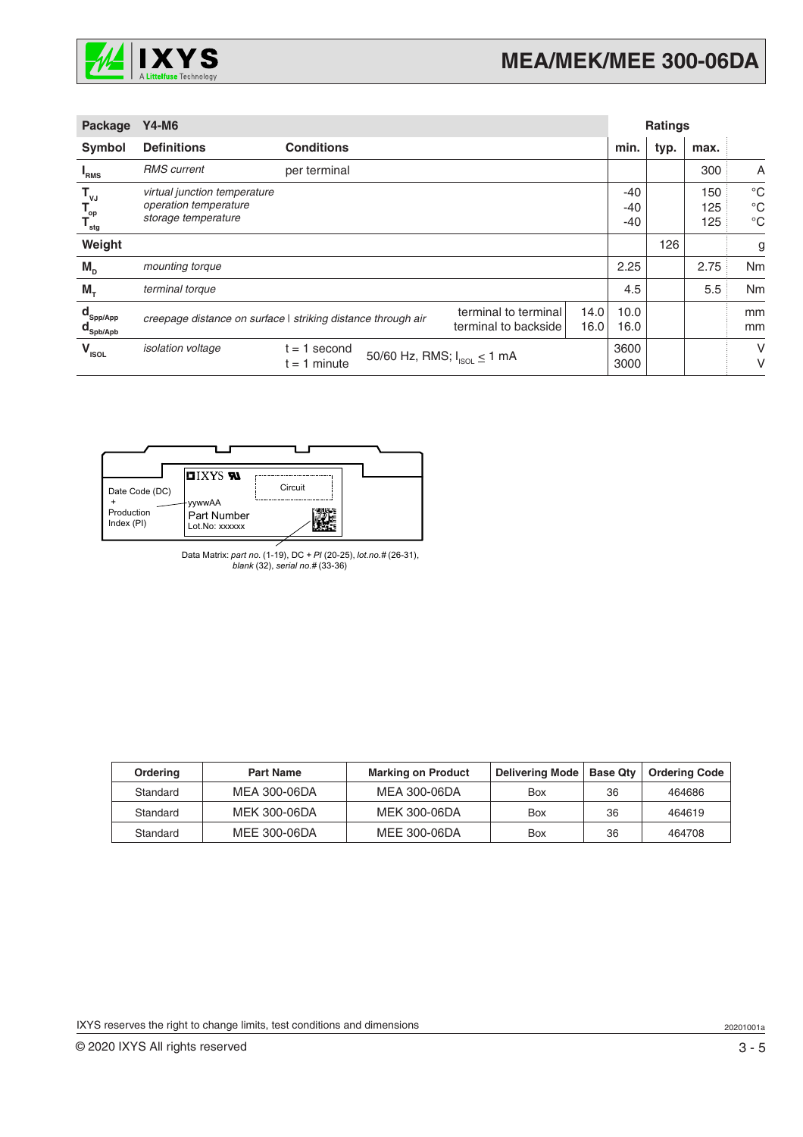

| Package                                                             | <b>Y4-M6</b>                                                                 |                                                              |                                              | <b>Ratings</b> |                     |      |                   |                                           |
|---------------------------------------------------------------------|------------------------------------------------------------------------------|--------------------------------------------------------------|----------------------------------------------|----------------|---------------------|------|-------------------|-------------------------------------------|
| Symbol                                                              | <b>Definitions</b>                                                           | <b>Conditions</b>                                            |                                              |                | min.                | typ. | max.              |                                           |
| <sup>"</sup> RMS                                                    | <b>RMS</b> current                                                           | per terminal                                                 |                                              |                |                     |      | 300               | A                                         |
| $\mathbf{T}_{\mathsf{vJ}}$<br>$\mathbf{T}_{op}$<br>$T_{\text{stg}}$ | virtual junction temperature<br>operation temperature<br>storage temperature |                                                              |                                              |                | $-40$<br>-40<br>-40 |      | 150<br>125<br>125 | $^{\circ}C$<br>$^{\circ}C$<br>$^{\circ}C$ |
| Weight                                                              |                                                                              |                                                              |                                              |                |                     | 126  |                   | g                                         |
| $M_{\text{D}}$                                                      | mounting torque                                                              |                                                              |                                              |                | 2.25                |      | 2.75              | Nm                                        |
| $M_{\tau}$                                                          | terminal torque                                                              |                                                              |                                              |                | 4.5                 |      | 5.5               | Nm                                        |
| $\mathbf{d}_{\mathsf{Spp/App}}$<br>$\mathbf{d}_{\mathsf{Spb/Apb}}$  |                                                                              | creepage distance on surface   striking distance through air | terminal to terminal<br>terminal to backside | 14.0<br>16.0   | 10.0<br>16.0        |      |                   | mm<br>mm                                  |
| $V_{\text{ISOL}}$                                                   | isolation voltage                                                            | 1 second<br>t =<br>t = 1 minute                              | 50/60 Hz, RMS; $I_{ISOL} \le 1$ mA           |                | 3600<br>3000        |      |                   | V<br>٧                                    |



Data Matrix: *part no.* (1-19), DC + *PI* (20-25), *lot.no.#* (26-31), *blank* (32), *serial no.#* (33-36)

| Ordering | <b>Part Name</b> | <b>Marking on Product</b> | Delivering Mode | Base Qty | <b>Ordering Code</b> |
|----------|------------------|---------------------------|-----------------|----------|----------------------|
| Standard | MEA 300-06DA     | MEA 300-06DA              | Box             | 36       | 464686               |
| Standard | MEK 300-06DA     | <b>MEK 300-06DA</b>       | Box             | 36       | 464619               |
| Standard | MEE 300-06DA     | MEE 300-06DA              | Box             | 36       | 464708               |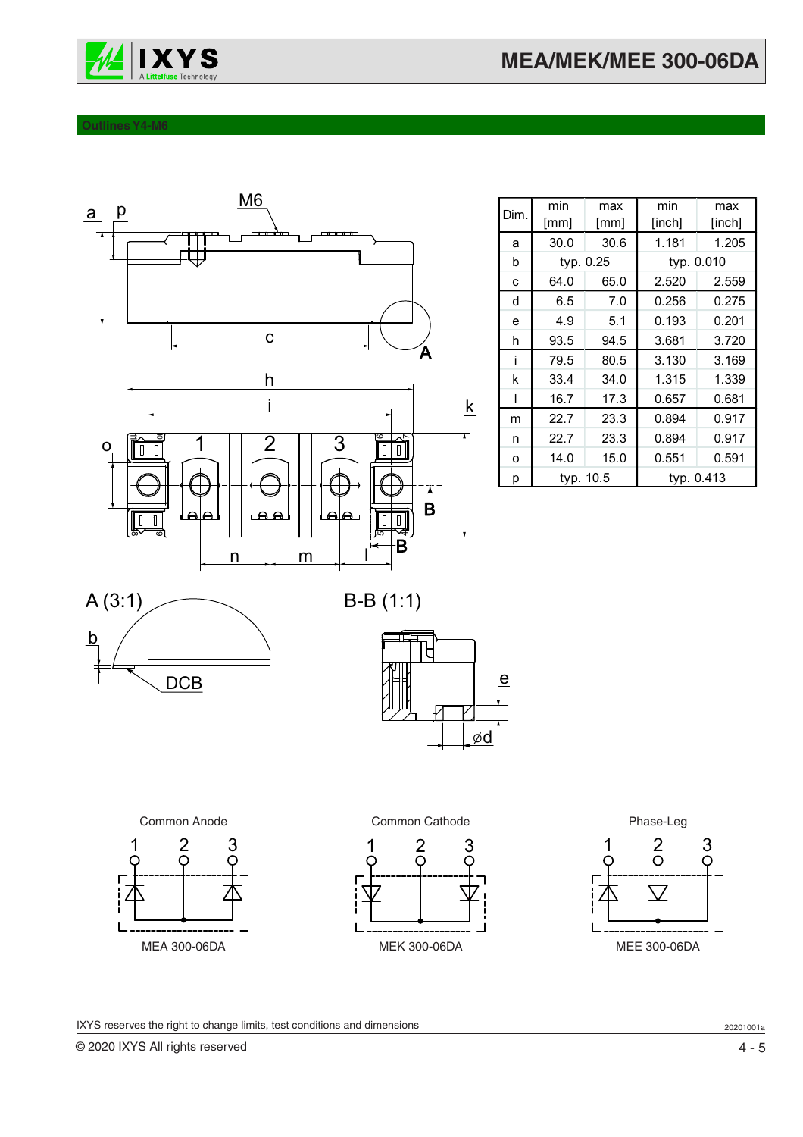

## **Outlines Y4-M6**



| Dim. | min       | max  | min        | max        |
|------|-----------|------|------------|------------|
|      | [mm]      | [mm] | [inch]     | [inch]     |
| a    | 30.0      | 30.6 | 1.181      | 1.205      |
| b    | typ. 0.25 |      |            | typ. 0.010 |
| C    | 64.0      | 65.0 | 2.520      | 2.559      |
| d    | 6.5       | 7.0  | 0.256      | 0.275      |
| e    | 4.9       | 5.1  | 0.193      | 0.201      |
| h    | 93.5      | 94.5 | 3.681      | 3.720      |
| i    | 79.5      | 80.5 | 3.130      | 3.169      |
| k    | 33.4      | 34.0 | 1.315      | 1.339      |
| I    | 16.7      | 17.3 | 0.657      | 0.681      |
| m    | 22.7      | 23.3 | 0.894      | 0.917      |
| n    | 22.7      | 23.3 | 0.894      | 0.917      |
| o    | 14.0      | 15.0 | 0.551      | 0.591      |
| р    | typ. 10.5 |      | typ. 0.413 |            |